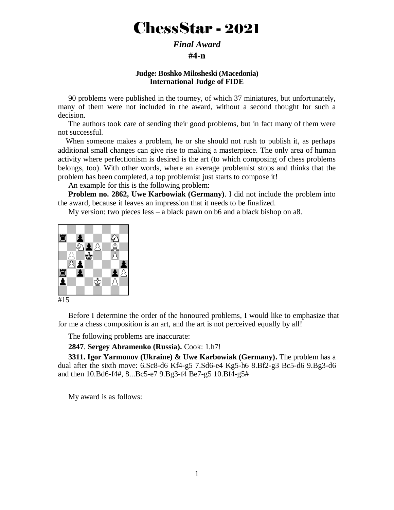# ChessStar - 2021

# *Final Award*  **#4-n**

#### **Judge: Boshko Milosheski (Macedonia) International Judge of FIDE**

90 problems were published in the tourney, of which 37 miniatures, but unfortunately, many of them were not included in the award, without a second thought for such a decision.

The authors took care of sending their good problems, but in fact many of them were not successful.

 When someone makes a problem, he or she should not rush to publish it, as perhaps additional small changes can give rise to making a masterpiece. The only area of human activity where perfectionism is desired is the art (to which composing of chess problems belongs, too). With other words, where an average problemist stops and thinks that the problem has been completed, a top problemist just starts to compose it!

An example for this is the following problem:

**Problem no. 2862, Uwe Karbowiak (Germany)**. I did not include the problem into the award, because it leaves an impression that it needs to be finalized.

My version: two pieces less – a black pawn on b6 and a black bishop on a8.



```
#15
```
Before I determine the order of the honoured problems, I would like to emphasize that for me a chess composition is an art, and the art is not perceived equally by all!

The following problems are inaccurate:

**2847**. **Sergey Abramenko (Russia).** Cook: 1.h7!

**3311. Igor Yarmonov (Ukraine) & Uwe Karbowiak (Germany).** The problem has a dual after the sixth move: 6.Sc8-d6 Kf4-g5 7.Sd6-e4 Kg5-h6 8.Bf2-g3 Bc5-d6 9.Bg3-d6 and then 10.Bd6-f4#, 8...Bc5-e7 9.Bg3-f4 Be7-g5 10.Bf4-g5#

My award is as follows: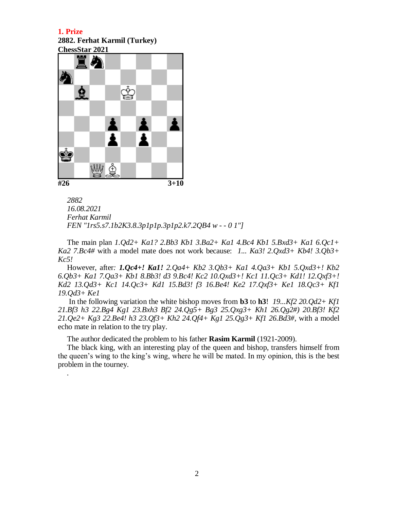**2882. Ferhat Karmil (Turkey) ChessStar 2021**



*.*

*2882 16.08.2021 Ferhat Karmil FEN "1rs5.s7.1b2K3.8.3p1p1p.3p1p2.k7.2QB4 w - - 0 1"]*

The main plan *1.Qd2+ Ka1? 2.Bb3 Kb1 3.Ba2+ Ka1 4.Bc4 Kb1 5.Bxd3+ Ka1 6.Qc1+ Ka2 7.Bc4#* with a model mate does not work because: *1... Ka3! 2.Qxd3+ Kb4! 3.Qb3+ Kc5!*

However, after*: 1.Qc4+! Ka1! 2.Qa4+ Kb2 3.Qb3+ Ka1 4.Qa3+ Kb1 5.Qxd3+! Kb2 6.Qb3+ Ka1 7.Qa3+ Kb1 8.Bb3! d3 9.Bc4! Kc2 10.Qxd3+! Kc1 11.Qc3+ Kd1! 12.Qxf3+! Kd2 13.Qd3+ Kc1 14.Qc3+ Kd1 15.Bd3! f3 16.Be4! Ke2 17.Qxf3+ Ke1 18.Qc3+ Kf1 19.Qd3+ Ke1*

In the following variation the white bishop moves from **b3** to **h3**! *19...Kf2 20.Qd2+ Kf1 21.Bf3 h3 22.Bg4 Kg1 23.Bxh3 Bf2 24.Qg5+ Bg3 25.Qxg3+ Kh1 26.Qg2#) 20.Bf3! Kf2 21.Qe2+ Kg3 22.Be4! h3 23.Qf3+ Kh2 24.Qf4+ Kg1 25.Qg3+ Kf1 26.Bd3#,* with a model echo mate in relation to the try play.

The author dedicated the problem to his father **Rasim Karmil** (1921-2009).

The black king, with an interesting play of the queen and bishop, transfers himself from the queen's wing to the king's wing, where he will be mated. In my opinion, this is the best problem in the tourney.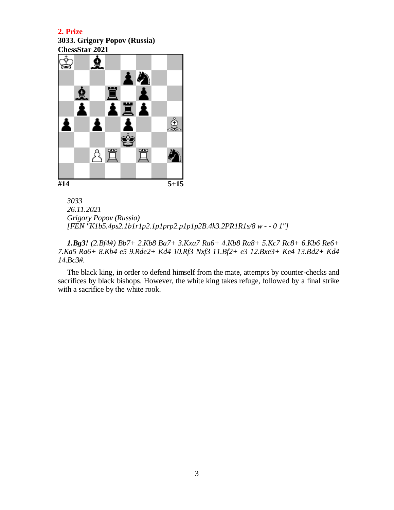**3033. Grigory Popov (Russia) ChessStar 2021**



*3033 26.11.2021 Grigory Popov (Russia) [FEN "K1b5.4ps2.1b1r1p2.1p1prp2.p1p1p2B.4k3.2PR1R1s/8 w - - 0 1"]*

*1.Bg3! (2.Bf4#) Bb7+ 2.Kb8 Ba7+ 3.Kxa7 Ra6+ 4.Kb8 Ra8+ 5.Kc7 Rc8+ 6.Kb6 Re6+ 7.Ka5 Ra6+ 8.Kb4 e5 9.Rde2+ Kd4 10.Rf3 Nxf3 11.Bf2+ e3 12.Bxe3+ Ke4 13.Bd2+ Kd4 14.Bc3#.*

The black king, in order to defend himself from the matе, attempts by counter-checks and sacrifices by black bishops. However, the white king takes refuge, followed by a final strike with a sacrifice by the white rook.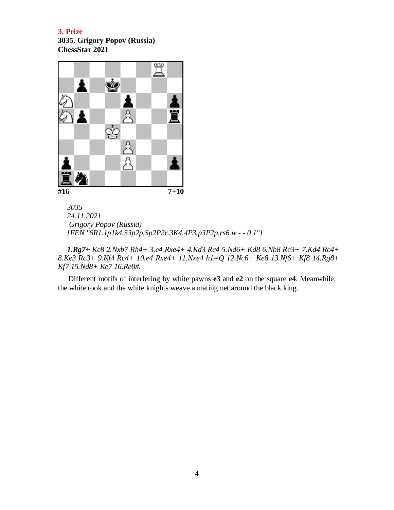**3035. Grigory Popov (Russia) ChessStar 2021**



*3035 24.11.2021 Grigory Popov (Russia) [FEN "6R1.1p1k4.S3p2p.Sp2P2r.3K4.4P3.p3P2p.rs6 w - - 0 1"]*

*1.Rg7+ Kc8 2.Nxb7 Rh4+ 3.e4 Rxe4+ 4.Kd3 Rc4 5.Nd6+ Kd8 6.Nb8 Rc3+ 7.Kd4 Rc4+ 8.Ke3 Rc3+ 9.Kf4 Rc4+ 10.e4 Rxe4+ 11.Nxe4 h1=Q 12.Nc6+ Ke8 13.Nf6+ Kf8 14.Rg8+ Kf7 15.Nd8+ Ke7 16.Re8#.*

Different motifs of interfering by white pawns **e3** and **e2** on the square **e4**. Meanwhile, the white rook and the white knights weave a mating net around the black king.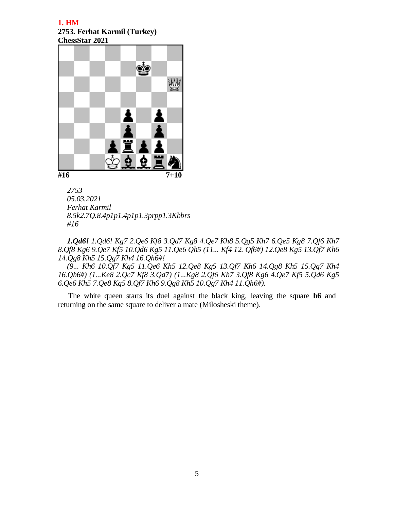#### **1. HM 2753. Ferhat Karmil (Turkey) ChessStar 2021**



*2753 05.03.2021 Ferhat Karmil 8.5k2.7Q.8.4p1p1.4p1p1.3prpp1.3Kbbrs #16*

*1.Qd6! 1.Qd6! Kg7 2.Qe6 Kf8 3.Qd7 Kg8 4.Qe7 Kh8 5.Qg5 Kh7 6.Qe5 Kg8 7.Qf6 Kh7 8.Qf8 Kg6 9.Qe7 Kf5 10.Qd6 Kg5 11.Qe6 Qh5 (11... Kf4 12. Qf6#) 12.Qe8 Kg5 13.Qf7 Kh6 14.Qg8 Kh5 15.Qg7 Kh4 16.Qh6#!*

*(9... Kh6 10.Qf7 Kg5 11.Qe6 Kh5 12.Qe8 Kg5 13.Qf7 Kh6 14.Qg8 Kh5 15.Qg7 Kh4 16.Qh6#) (1...Ke8 2.Qc7 Kf8 3.Qd7) (1...Kg8 2.Qf6 Kh7 3.Qf8 Kg6 4.Qe7 Kf5 5.Qd6 Kg5 6.Qe6 Kh5 7.Qe8 Kg5 8.Qf7 Kh6 9.Qg8 Kh5 10.Qg7 Kh4 11.Qh6#).*

The white queen starts its duel against the black king, leaving the square **h6** and returning on the same square to deliver a mate (Milosheski theme).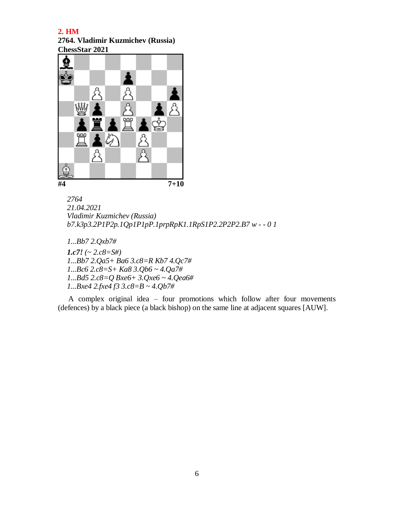**2764. Vladimir Kuzmichev (Russia) ChessStar 2021**



```
2764
21.04.2021
Vladimir Kuzmichev (Russia)
b7.k3p3.2P1P2p.1Qp1P1pP.1prpRpK1.1RpS1P2.2P2P2.B7 w - - 0 1
```
*1...Bb7 2.Qxb7#*

*1.c7! (~ 2.c8=S#) 1...Bb7 2.Qa5+ Ba6 3.c8=R Kb7 4.Qc7# 1...Bc6 2.c8=S+ Ka8 3.Qb6 ~ 4.Qa7# 1...Bd5 2.c8=Q Bxe6+ 3.Qxe6 ~ 4.Qea6# 1...Bxe4 2.fxe4 f3 3.c8=B ~ 4.Qb7#*

A complex original idea – four promotions which follow after four movements (defences) by a black piece (a black bishop) on the same line at adjacent squares [AUW].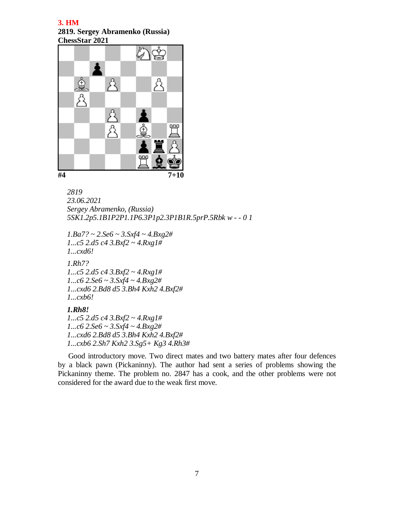**2819. Sergey Abramenko (Russia) ChessStar 2021**



```
2819
23.06.2021
Sergey Abramenko, (Russia)
5SK1.2p5.1B1P2P1.1P6.3P1p2.3P1B1R.5prP.5Rbk w - - 0 1
```

```
1.Ba7? ~ 2.Se6 ~ 3.Sxf4 ~ 4.Bxg2#
1...c5 2.d5 c4 3.Bxf2 ~ 4.Rxg1#
1...cxd6!
1.Rh7?
1...c5 2.d5 c4 3.Bxf2 ~ 4.Rxg1#
1...c6 2.Se6 ~ 3.Sxf4 ~ 4.Bxg2#
1...cxd6 2.Bd8 d5 3.Bh4 Kxh2 4.Bxf2#
1...cxb6!
1.Rh8!
```
*1...c5 2.d5 c4 3.Bxf2 ~ 4.Rxg1# 1...c6 2.Se6 ~ 3.Sxf4 ~ 4.Bxg2# 1...cxd6 2.Bd8 d5 3.Bh4 Kxh2 4.Bxf2# 1...cxb6 2.Sh7 Kxh2 3.Sg5+ Kg3 4.Rh3#*

Good introductory move. Two direct mates and two battery mates after four defences by a black pawn (Pickaninny). The author had sent a series of problems showing the Pickaninny theme. The problem no. 2847 has a cook, and the other problems were not considered for the award due to the weak first move.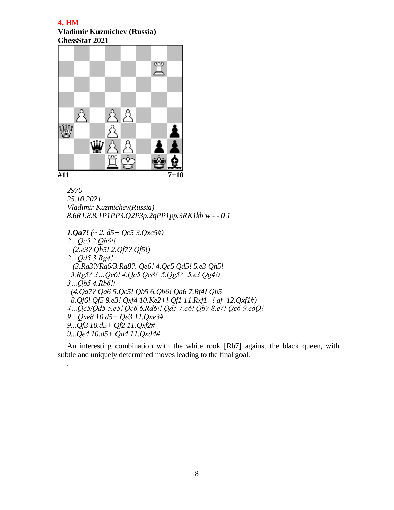#### **4. HM Vladimir Kuzmichev (Russia) ChessStar 2021**



*.*

*2970 25.10.2021 Vladimir Kuzmichev(Russia) 8.6R1.8.8.1P1PP3.Q2P3p.2qPP1pp.3RK1kb w - - 0 1*

```
1.Qa7! (~ 2. d5+ Qc5 3.Qxc5#)
2…Qc5 2.Qb6!!
  (2.e3? Qh5! 2.Qf7? Qf5!)
2…Qd5 3.Rg4!
  (3.Rg3?/Rg6/3.Rg8?. Qe6! 4.Qc5 Qd5! 5.e3 Qh5! –
  3.Rg5? 3…Qe6! 4.Qc5 Qc8! 5.Qg5? 5.e3 Qg4!)
3…Qb5 4.Rb6!!
  (4.Qa7? Qa6 5.Qc5! Qb5 6.Qb6! Qa6 7.Rf4! Qb5
  8.Qf6! Qf5 9.e3! Qxf4 10.Ke2+! Qf1 11.Rxf1+! gf 12.Qxf1#)
4…Qc5/Qd5 5.e5! Qc6 6.Rd6!! Qd5 7.e6! Qb7 8.e7! Qc6 9.e8Q! 
9…Qxe8 10.d5+ Qe3 11.Qxe3#
9...Qf3 10.d5+ Qf2 11.Qxf2#
9...Qe4 10.d5+ Qd4 11.Qxd4#
```
An interesting combination with the white rook [Rb7] against the black queen, with subtle and uniquely determined moves leading to the final goal.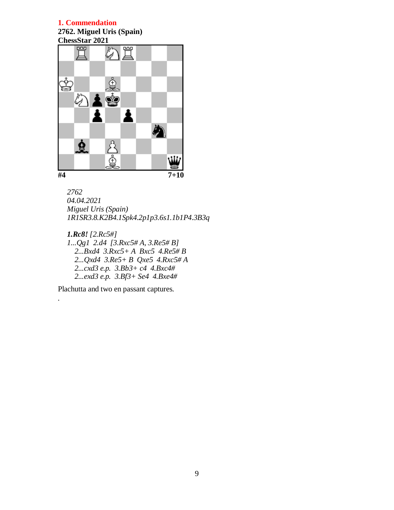**2762. Miguel Uris (Spain)**



```
2762
04.04.2021
Miguel Uris (Spain)
1R1SR3.8.K2B4.1Spk4.2p1p3.6s1.1b1P4.3B3q
```

```
1.Rc8! [2.Rc5#]
1...Qg1 2.d4 [3.Rxc5# A, 3.Re5# B]
   2...Bxd4 3.Rxc5+ A Bxc5 4.Re5# B
   2...Qxd4 3.Re5+ B Qxe5 4.Rxc5# A
   2...cxd3 e.p. 3.Bb3+ c4 4.Bxc4#
   2...exd3 e.p. 3.Bf3+ Se4 4.Bxe4#
```
Plachutta and two en passant captures.

*.*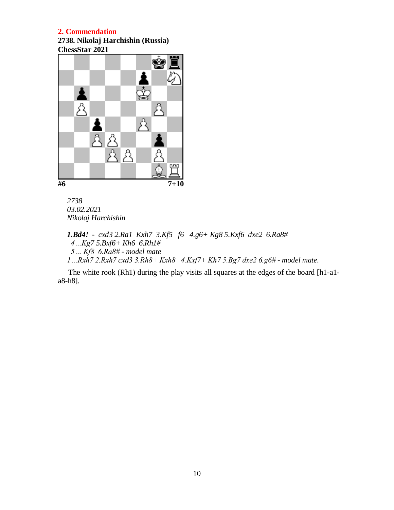**2738. Nikolaj Harchishin (Russia) ChessStar 2021**



*2738 03.02.2021 Nikolaj Harchishin*

*1.Bd4! - cxd3 2.Ra1 Kxh7 3.Kf5 f6 4.g6+ Kg8 5.Kxf6 dxe2 6.Ra8# 4…Kg7 5.Bxf6+ Kh6 6.Rh1# 5… Kf8 6.Ra8# - model mate 1…Rxh7 2.Rxh7 cxd3 3.Rh8+ Kxh8 4.Kxf7+ Kh7 5.Bg7 dxe2 6.g6# - model mate*.

The white rook (Rh1) during the play visits all squares at the edges of the board [h1-a1 a8-h8].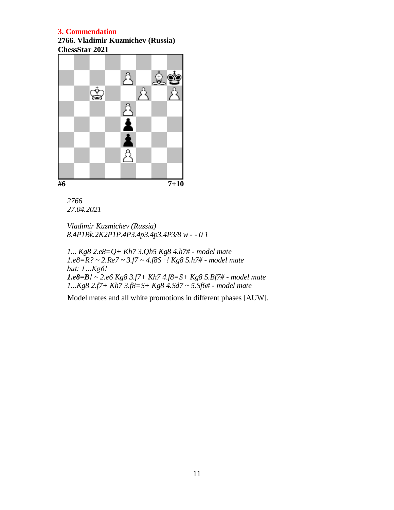**2766. Vladimir Kuzmichev (Russia) ChessStar 2021**



*2766 27.04.2021*

*Vladimir Kuzmichev (Russia) 8.4P1Bk.2K2P1P.4P3.4p3.4p3.4P3/8 w - - 0 1*

*1... Kg8 2.e8=Q+ Kh7 3.Qh5 Kg8 4.h7# - model mate 1.e8=R? ~ 2.Re7 ~ 3.f7 ~ 4.f8S+! Kg8 5.h7# - model mate but: 1…Kg6! 1.e8=B! ~ 2.e6 Kg8 3.f7+ Kh7 4.f8=S+ Kg8 5.Bf7# - model mate 1...Kg8 2.f7+ Kh7 3.f8=S+ Kg8 4.Sd7 ~ 5.Sf6# - model mate*

Model mates and all white promotions in different phases [AUW].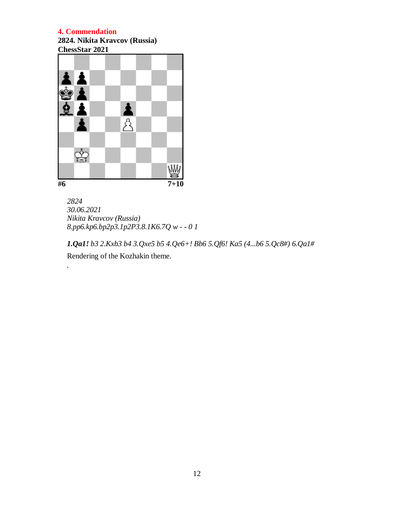*.*

**2824. Nikita Kravcov (Russia) ChessStar 2021**



*2824 30.06.2021 Nikita Kravcov (Russia) 8.pp6.kp6.bp2p3.1p2P3.8.1K6.7Q w - - 0 1*

*1.Qa1! b3 2.Kxb3 b4 3.Qxe5 b5 4.Qe6+! Bb6 5.Qf6! Ka5 (4...b6 5.Qc8#) 6.Qa1#* Rendering of the Kozhakin theme.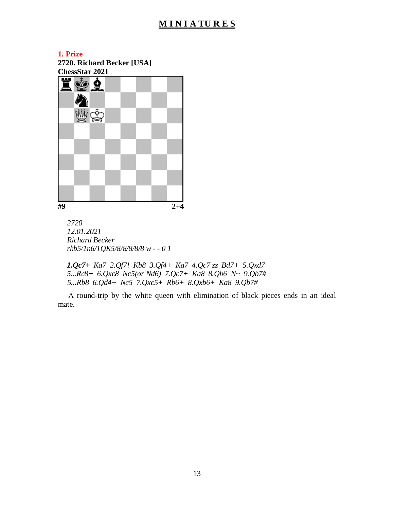# **M I N I A TU R E S**

#### **1. Prize**

**2720. Richard Becker [USA] ChessStar 2021**



*2720 12.01.2021 Richard Becker rkb5/1n6/1QK5/8/8/8/8/8 w - - 0 1*

*1.Qc7+ Ka7 2.Qf7! Kb8 3.Qf4+ Ka7 4.Qc7 zz Bd7+ 5.Qxd7 5...Rc8+ 6.Qxc8 Nc5(or Nd6) 7.Qc7+ Ka8 8.Qb6 N~ 9.Qb7# 5...Rb8 6.Qd4+ Nc5 7.Qxc5+ Rb6+ 8.Qxb6+ Ka8 9.Qb7#*

А round-trip by the white queen with elimination of black pieces ends in an ideal mate.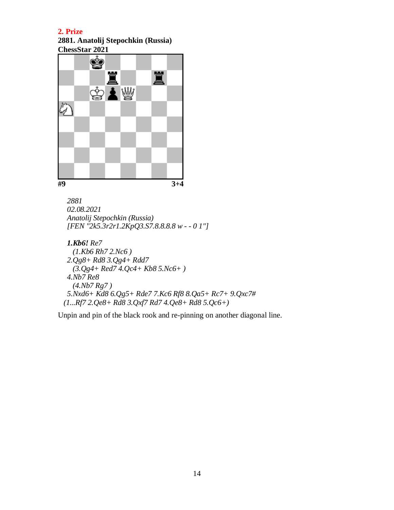**2881. Anatolij Stepochkin (Russia)**



```
2881
02.08.2021
Anatolij Stepochkin (Russia)
[FEN "2k5.3r2r1.2KpQ3.S7.8.8.8.8 w - - 0 1"]
```

```
1.Kb6! Re7
   (1.Kb6 Rh7 2.Nc6 )
 2.Qg8+ Rd8 3.Qg4+ Rdd7
   (3.Qg4+ Red7 4.Qc4+ Kb8 5.Nc6+ )
 4.Nb7 Re8
   (4.Nb7 Rg7 )
 5.Nxd6+ Kd8 6.Qg5+ Rde7 7.Kc6 Rf8 8.Qa5+ Rc7+ 9.Qxc7#
 (1...Rf7 2.Qe8+ Rd8 3.Qxf7 Rd7 4.Qe8+ Rd8 5.Qc6+)
```
Unpin and pin of the black rook and re-pinning on another diagonal line.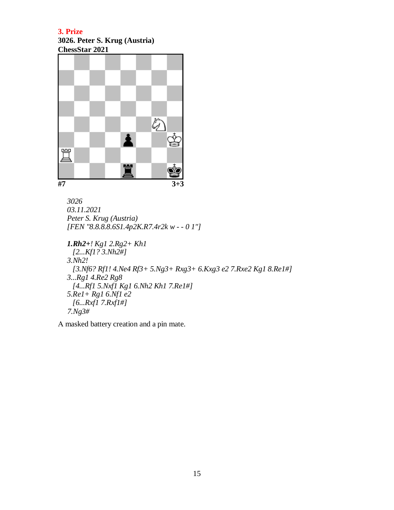# **3026. Peter S. Krug (Austria) ChessStar 2021**



*3026 03.11.2021 Peter S. Krug (Austria) [FEN "8.8.8.8.6S1.4p2K.R7.4r2k w - - 0 1"]*

```
1.Rh2+! Kg1 2.Rg2+ Kh1
  [2...Kf1? 3.Nh2#]
3.Nh2!
  [3.Nf6? Rf1! 4.Ne4 Rf3+ 5.Ng3+ Rxg3+ 6.Kxg3 e2 7.Rxe2 Kg1 8.Re1#] 
3...Rg1 4.Re2 Rg8
  [4...Rf1 5.Nxf1 Kg1 6.Nh2 Kh1 7.Re1#]
5.Re1+ Rg1 6.Nf1 e2
  [6...Rxf1 7.Rxf1#]
 7.Ng3#
```
А masked battery creation and a pin mate.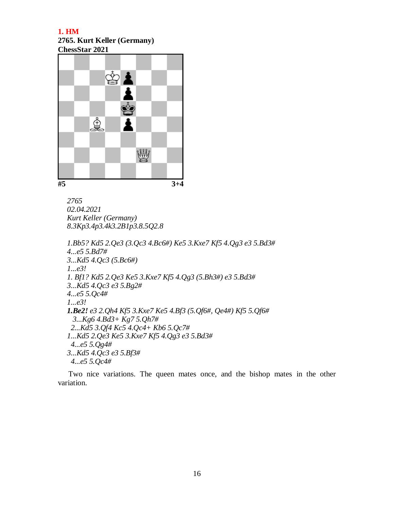# **2765. Kurt Keller (Germany) ChessStar 2021**



*2765 02.04.2021 Kurt Keller (Germany) 8.3Kp3.4p3.4k3.2B1p3.8.5Q2.8*

*1.Bb5? Kd5 2.Qe3 (3.Qc3 4.Bc6#) Ke5 3.Kxe7 Kf5 4.Qg3 e3 5.Bd3# 4...e5 5.Bd7# 3...Kd5 4.Qc3 (5.Bc6#) 1...e3! 1. Bf1? Kd5 2.Qe3 Ke5 3.Kxe7 Kf5 4.Qg3 (5.Bh3#) e3 5.Bd3# 3...Kd5 4.Qc3 e3 5.Bg2# 4...e5 5.Qc4# 1...e3! 1.Be2! e3 2.Qh4 Kf5 3.Kxe7 Ke5 4.Bf3 (5.Qf6#, Qe4#) Kf5 5.Qf6# 3...Kg6 4.Bd3+ Kg7 5.Qh7# 2...Kd5 3.Qf4 Kc5 4.Qc4+ Kb6 5.Qc7# 1...Kd5 2.Qe3 Ke5 3.Kxe7 Kf5 4.Qg3 e3 5.Bd3# 4...e5 5.Qg4# 3...Kd5 4.Qc3 e3 5.Bf3# 4...e5 5.Qc4#*

Тwo nice variations. The queen mates once, and the bishop mates in the other variation.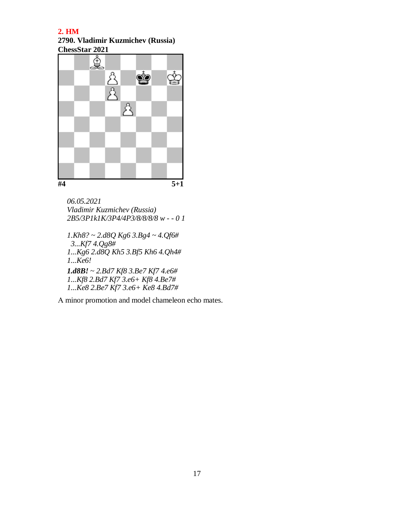**2790. Vladimir Kuzmichev (Russia) ChessStar 2021**



*06.05.2021 Vladimir Kuzmichev (Russia) 2B5/3P1k1K/3P4/4P3/8/8/8/8 w - - 0 1 1.Kh8? ~ 2.d8Q Kg6 3.Bg4 ~ 4.Qf6# 3...Kf7 4.Qg8# 1...Kg6 2.d8Q Kh5 3.Bf5 Kh6 4.Qh4# 1...Ke6!*

*1.d8B! ~ 2.Bd7 Kf8 3.Be7 Kf7 4.e6# 1...Kf8 2.Bd7 Kf7 3.e6+ Kf8 4.Be7# 1...Ke8 2.Be7 Kf7 3.e6+ Ke8 4.Bd7#*

А minor promotion and model chameleon echo mates.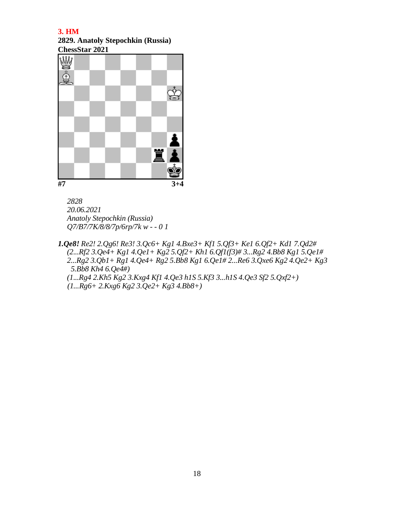**2829. Anatoly Stepochkin (Russia) ChessStar 2021**



*2828 20.06.2021 Anatoly Stepochkin (Russia)*

*Q7/B7/7K/8/8/7p/6rp/7k w - - 0 1*

*1.Qe8! Re2! 2.Qg6! Re3! 3.Qc6+ Kg1 4.Bxe3+ Kf1 5.Qf3+ Ke1 6.Qf2+ Kd1 7.Qd2# (2...Rf2 3.Qe4+ Kg1 4.Qe1+ Kg2 5.Qf2+ Kh1 6.Qf1(f3)# 3...Rg2 4.Bb8 Kg1 5.Qe1# 2...Rg2 3.Qb1+ Rg1 4.Qe4+ Rg2 5.Bb8 Kg1 6.Qe1# 2...Re6 3.Qxe6 Kg2 4.Qe2+ Kg3 5.Bb8 Kh4 6.Qe4#) (1...Rg4 2.Kh5 Kg2 3.Kxg4 Kf1 4.Qe3 h1S 5.Kf3 3...h1S 4.Qe3 Sf2 5.Qxf2+)*

 *(1...Rg6+ 2.Kxg6 Kg2 3.Qe2+ Kg3 4.Bb8+)*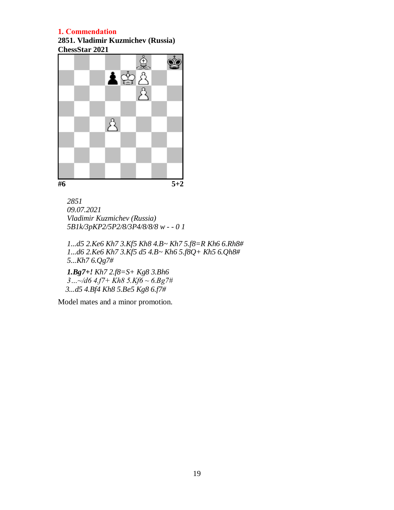**2851. Vladimir Kuzmichev (Russia)**



$$
5+2
$$

*2851 09.07.2021 Vladimir Kuzmichev (Russia) 5B1k/3pKP2/5P2/8/3P4/8/8/8 w - - 0 1*

*1...d5 2.Ke6 Kh7 3.Kf5 Kh8 4.B~ Kh7 5.f8=R Kh6 6.Rh8# 1...d6 2.Ke6 Kh7 3.Kf5 d5 4.B~ Kh6 5.f8Q+ Kh5 6.Qh8# 5...Kh7 6.Qg7#*

*1.Bg7+! Kh7 2.f8=S+ Kg8 3.Bh6 3…~/d6 4.f7+ Kh8 5.Kf6 ~ 6.Bg7# 3...d5 4.Bf4 Kh8 5.Be5 Kg8 6.f7#* 

Model mates and a minor promotion.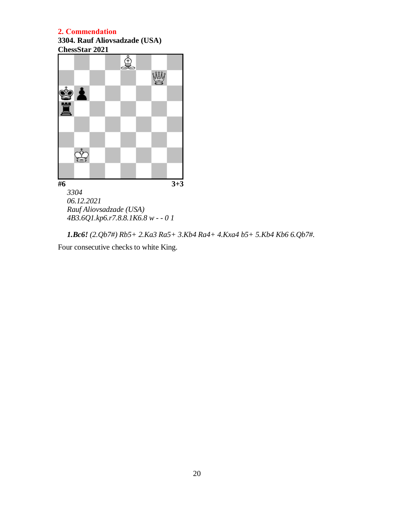**3304. Rauf Aliovsadzade (USA) ChessStar 2021**



*1.Bc6! (2.Qb7#) Rb5+ 2.Ka3 Ra5+ 3.Kb4 Ra4+ 4.Kxa4 b5+ 5.Kb4 Kb6 6.Qb7#.*

Four consecutive checks to white King.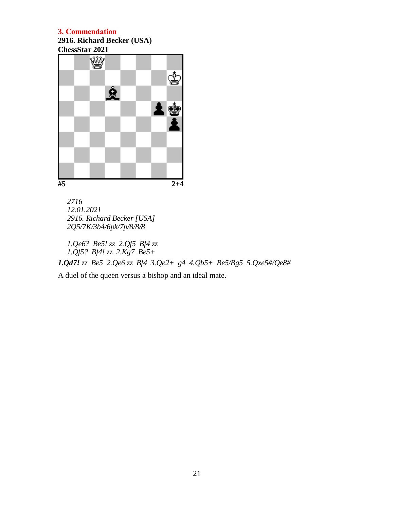**2916. Richard Becker (USA) ChessStar 2021**



*2716 12.01.2021 2916. Richard Becker [USA] 2Q5/7K/3b4/6pk/7p/8/8/8*

*1.Qe6? Be5! zz 2.Qf5 Bf4 zz 1.Qf5? Bf4! zz 2.Kg7 Be5+ 1.Qd7! zz Be5 2.Qe6 zz Bf4 3.Qe2+ g4 4.Qb5+ Be5/Bg5 5.Qxe5#/Qe8#*

A duel of the queen versus а bishop and an ideal mate.